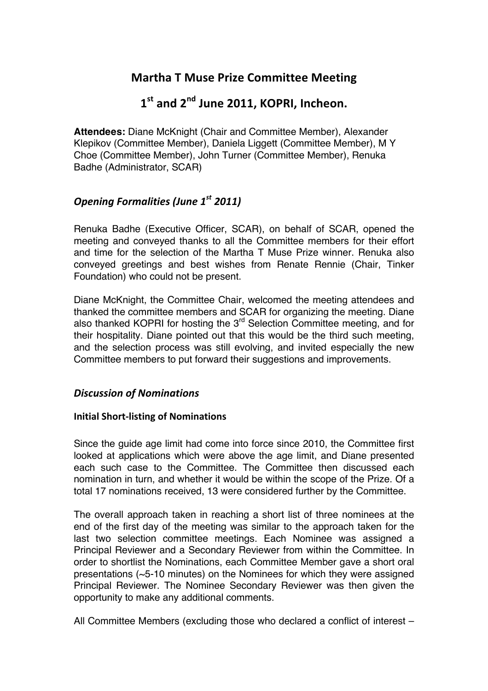## **Martha T Muse Prize Committee Meeting**

# **1st and&2nd June&2011,&KOPRI,&Incheon.**

**Attendees:** Diane McKnight (Chair and Committee Member), Alexander Klepikov (Committee Member), Daniela Liggett (Committee Member), M Y Choe (Committee Member), John Turner (Committee Member), Renuka Badhe (Administrator, SCAR)

### *Opening Formalities (June 1<sup>st</sup> 2011)*

Renuka Badhe (Executive Officer, SCAR), on behalf of SCAR, opened the meeting and conveyed thanks to all the Committee members for their effort and time for the selection of the Martha T Muse Prize winner. Renuka also conveyed greetings and best wishes from Renate Rennie (Chair, Tinker Foundation) who could not be present.

Diane McKnight, the Committee Chair, welcomed the meeting attendees and thanked the committee members and SCAR for organizing the meeting. Diane also thanked KOPRI for hosting the  $3<sup>rd</sup>$  Selection Committee meeting, and for their hospitality. Diane pointed out that this would be the third such meeting, and the selection process was still evolving, and invited especially the new Committee members to put forward their suggestions and improvements.

#### *Discussion'of'Nominations*

#### **Initial Short-listing of Nominations**

Since the guide age limit had come into force since 2010, the Committee first looked at applications which were above the age limit, and Diane presented each such case to the Committee. The Committee then discussed each nomination in turn, and whether it would be within the scope of the Prize. Of a total 17 nominations received, 13 were considered further by the Committee.

The overall approach taken in reaching a short list of three nominees at the end of the first day of the meeting was similar to the approach taken for the last two selection committee meetings. Each Nominee was assigned a Principal Reviewer and a Secondary Reviewer from within the Committee. In order to shortlist the Nominations, each Committee Member gave a short oral presentations (~5-10 minutes) on the Nominees for which they were assigned Principal Reviewer. The Nominee Secondary Reviewer was then given the opportunity to make any additional comments.

All Committee Members (excluding those who declared a conflict of interest –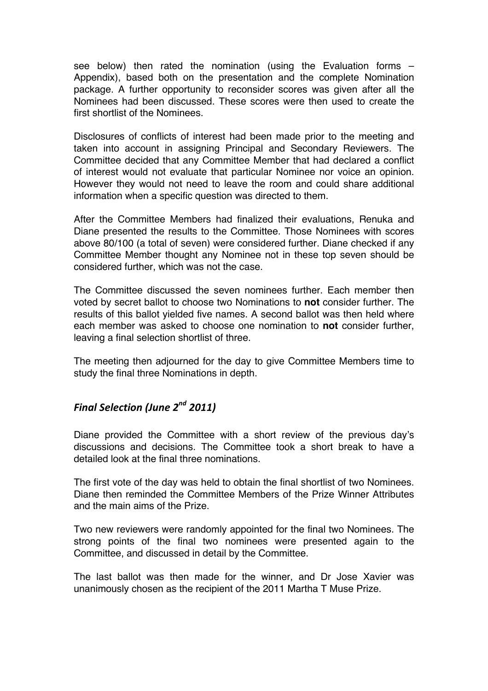see below) then rated the nomination (using the Evaluation forms – Appendix), based both on the presentation and the complete Nomination package. A further opportunity to reconsider scores was given after all the Nominees had been discussed. These scores were then used to create the first shortlist of the Nominees.

Disclosures of conflicts of interest had been made prior to the meeting and taken into account in assigning Principal and Secondary Reviewers. The Committee decided that any Committee Member that had declared a conflict of interest would not evaluate that particular Nominee nor voice an opinion. However they would not need to leave the room and could share additional information when a specific question was directed to them.

After the Committee Members had finalized their evaluations, Renuka and Diane presented the results to the Committee. Those Nominees with scores above 80/100 (a total of seven) were considered further. Diane checked if any Committee Member thought any Nominee not in these top seven should be considered further, which was not the case.

The Committee discussed the seven nominees further. Each member then voted by secret ballot to choose two Nominations to **not** consider further. The results of this ballot yielded five names. A second ballot was then held where each member was asked to choose one nomination to **not** consider further, leaving a final selection shortlist of three.

The meeting then adjourned for the day to give Committee Members time to study the final three Nominations in depth.

#### *Final'Selection (June'2nd 2011)*

Diane provided the Committee with a short review of the previous day's discussions and decisions. The Committee took a short break to have a detailed look at the final three nominations.

The first vote of the day was held to obtain the final shortlist of two Nominees. Diane then reminded the Committee Members of the Prize Winner Attributes and the main aims of the Prize.

Two new reviewers were randomly appointed for the final two Nominees. The strong points of the final two nominees were presented again to the Committee, and discussed in detail by the Committee.

The last ballot was then made for the winner, and Dr Jose Xavier was unanimously chosen as the recipient of the 2011 Martha T Muse Prize.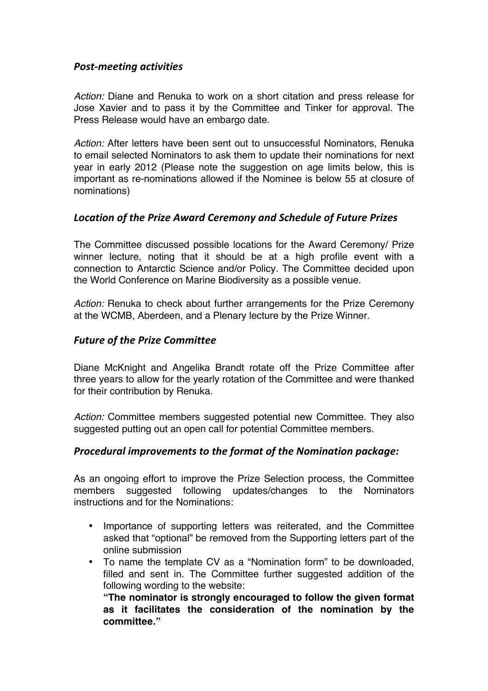#### *Post>meeting'activities*

*Action:* Diane and Renuka to work on a short citation and press release for Jose Xavier and to pass it by the Committee and Tinker for approval. The Press Release would have an embargo date.

*Action:* After letters have been sent out to unsuccessful Nominators, Renuka to email selected Nominators to ask them to update their nominations for next year in early 2012 (Please note the suggestion on age limits below, this is important as re-nominations allowed if the Nominee is below 55 at closure of nominations)

#### *Location'of'the'Prize'Award'Ceremony'and'Schedule'of'Future'Prizes*

The Committee discussed possible locations for the Award Ceremony/ Prize winner lecture, noting that it should be at a high profile event with a connection to Antarctic Science and/or Policy. The Committee decided upon the World Conference on Marine Biodiversity as a possible venue.

*Action:* Renuka to check about further arrangements for the Prize Ceremony at the WCMB, Aberdeen, and a Plenary lecture by the Prize Winner.

#### **Future of the Prize Committee**

Diane McKnight and Angelika Brandt rotate off the Prize Committee after three years to allow for the yearly rotation of the Committee and were thanked for their contribution by Renuka.

*Action:* Committee members suggested potential new Committee. They also suggested putting out an open call for potential Committee members.

#### *Procedural'improvements'to'the'format'of'the'Nomination'package:*

As an ongoing effort to improve the Prize Selection process, the Committee members suggested following updates/changes to the Nominators instructions and for the Nominations:

- Importance of supporting letters was reiterated, and the Committee asked that "optional" be removed from the Supporting letters part of the online submission
- To name the template CV as a "Nomination form" to be downloaded, filled and sent in. The Committee further suggested addition of the following wording to the website:

**"The nominator is strongly encouraged to follow the given format as it facilitates the consideration of the nomination by the committee."**